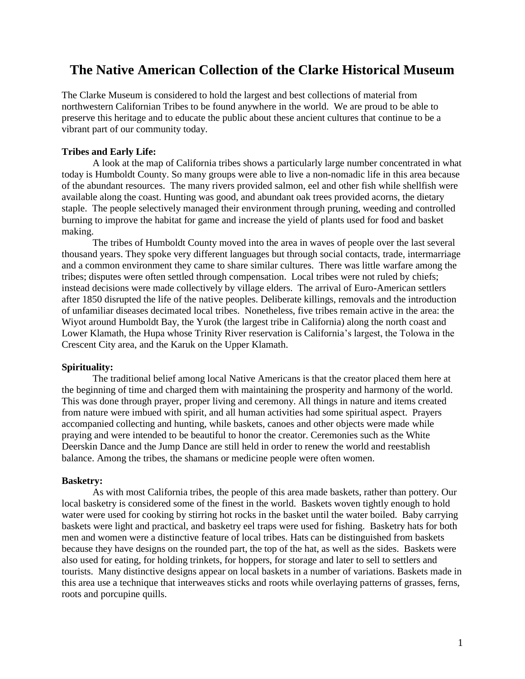# **The Native American Collection of the Clarke Historical Museum**

The Clarke Museum is considered to hold the largest and best collections of material from northwestern Californian Tribes to be found anywhere in the world. We are proud to be able to preserve this heritage and to educate the public about these ancient cultures that continue to be a vibrant part of our community today.

# **Tribes and Early Life:**

A look at the map of California tribes shows a particularly large number concentrated in what today is Humboldt County. So many groups were able to live a non-nomadic life in this area because of the abundant resources. The many rivers provided salmon, eel and other fish while shellfish were available along the coast. Hunting was good, and abundant oak trees provided acorns, the dietary staple. The people selectively managed their environment through pruning, weeding and controlled burning to improve the habitat for game and increase the yield of plants used for food and basket making.

The tribes of Humboldt County moved into the area in waves of people over the last several thousand years. They spoke very different languages but through social contacts, trade, intermarriage and a common environment they came to share similar cultures. There was little warfare among the tribes; disputes were often settled through compensation. Local tribes were not ruled by chiefs; instead decisions were made collectively by village elders. The arrival of Euro-American settlers after 1850 disrupted the life of the native peoples. Deliberate killings, removals and the introduction of unfamiliar diseases decimated local tribes. Nonetheless, five tribes remain active in the area: the Wiyot around Humboldt Bay, the Yurok (the largest tribe in California) along the north coast and Lower Klamath, the Hupa whose Trinity River reservation is California's largest, the Tolowa in the Crescent City area, and the Karuk on the Upper Klamath.

# **Spirituality:**

The traditional belief among local Native Americans is that the creator placed them here at the beginning of time and charged them with maintaining the prosperity and harmony of the world. This was done through prayer, proper living and ceremony. All things in nature and items created from nature were imbued with spirit, and all human activities had some spiritual aspect. Prayers accompanied collecting and hunting, while baskets, canoes and other objects were made while praying and were intended to be beautiful to honor the creator. Ceremonies such as the White Deerskin Dance and the Jump Dance are still held in order to renew the world and reestablish balance. Among the tribes, the shamans or medicine people were often women.

# **Basketry:**

As with most California tribes, the people of this area made baskets, rather than pottery. Our local basketry is considered some of the finest in the world. Baskets woven tightly enough to hold water were used for cooking by stirring hot rocks in the basket until the water boiled. Baby carrying baskets were light and practical, and basketry eel traps were used for fishing. Basketry hats for both men and women were a distinctive feature of local tribes. Hats can be distinguished from baskets because they have designs on the rounded part, the top of the hat, as well as the sides. Baskets were also used for eating, for holding trinkets, for hoppers, for storage and later to sell to settlers and tourists. Many distinctive designs appear on local baskets in a number of variations. Baskets made in this area use a technique that interweaves sticks and roots while overlaying patterns of grasses, ferns, roots and porcupine quills.